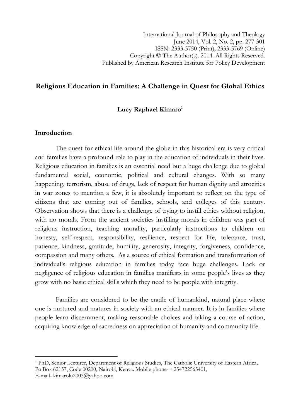## Religious Education in Families: A Challenge in Quest for Global Ethics

## Lucy Raphael  $Kimaro<sup>1</sup>$

## Introduction

 $\overline{a}$ 

The quest for ethical life around the globe in this historical era is very critical and families have a profound role to play in the education of individuals in their lives. Religious education in families is an essential need but a huge challenge due to global fundamental social, economic, political and cultural changes. With so many happening, terrorism, abuse of drugs, lack of respect for human dignity and atrocities in war zones to mention a few, it is absolutely important to reflect on the type of citizens that are coming out of families, schools, and colleges of this century. Observation shows that there is a challenge of trying to instill ethics without religion, with no morals. From the ancient societies instilling morals in children was part of religious instruction, teaching morality, particularly instructions to children on honesty, self-respect, responsibility, resilience, respect for life, tolerance, trust, patience, kindness, gratitude, humility, generosity, integrity, forgiveness, confidence, compassion and many others. As a source of ethical formation and transformation of individual's religious education in families today face huge challenges. Lack or negligence of religious education in families manifests in some people's lives as they grow with no basic ethical skills which they need to be people with integrity.

Families are considered to be the cradle of humankind, natural place where one is nurtured and matures in society with an ethical manner. It is in families where people learn discernment, making reasonable choices and taking a course of action, acquiring knowledge of sacredness on appreciation of humanity and community life.

<sup>1</sup> PhD, Senior Lecturer, Department of Religious Studies, The Catholic University of Eastern Africa, Po Box 62157, Code 00200, Nairobi, Kenya. Mobile phone- +254722565401, E-mail- kimarolu2003@yahoo.com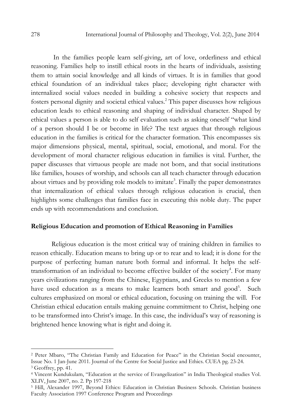In the families people learn self-giving, art of love, orderliness and ethical reasoning. Families help to instill ethical roots in the hearts of individuals, assisting them to attain social knowledge and all kinds of virtues. It is in families that good ethical foundation of an individual takes place; developing right character with internalized social values needed in building a cohesive society that respects and fosters personal dignity and societal ethical values.<sup>2</sup> This paper discusses how religious education leads to ethical reasoning and shaping of individual character. Shaped by ethical values a person is able to do self evaluation such as asking oneself "what kind of a person should I be or become in life? The text argues that through religious education in the families is critical for the character formation. This encompasses six major dimensions physical, mental, spiritual, social, emotional, and moral. For the development of moral character religious education in families is vital. Further, the paper discusses that virtuous people are made not born, and that social institutions like families, houses of worship, and schools can all teach character through education about virtues and by providing role models to imitate<sup>3</sup>. Finally the paper demonstrates that internalization of ethical values through religious education is crucial, then highlights some challenges that families face in executing this noble duty. The paper ends up with recommendations and conclusion.

#### Religious Education and promotion of Ethical Reasoning in Families

Religious education is the most critical way of training children in families to reason ethically. Education means to bring up or to rear and to lead; it is done for the purpose of perfecting human nature both formal and informal. It helps the selftransformation of an individual to become effective builder of the society<sup>4</sup>. For many years civilizations ranging from the Chinese, Egyptians, and Greeks to mention a few have used education as a means to make learners both smart and good<sup>5</sup>. Such cultures emphasized on moral or ethical education, focusing on training the will. For Christian ethical education entails making genuine commitment to Christ, helping one to be transformed into Christ's image. In this case, the individual's way of reasoning is brightened hence knowing what is right and doing it.

<sup>2</sup> Peter Mbaro, "The Christian Family and Education for Peace" in the Christian Social encounter, Issue No. 1 Jan-June 2011. Journal of the Centre for Social Justice and Ethics. CUEA pg. 23-24. 3 Geoffrey, pp. 41.

<sup>4</sup> Vincent Kundukulam, "Education at the service of Evangelization" in India Theological studies Vol. XLIV, June 2007, no. 2. Pp 197-218

<sup>&</sup>lt;sup>5</sup> Hill, Alexander 1997, Beyond Ethics: Education in Christian Business Schools. Christian business Faculty Association 1997 Conference Program and Proceedings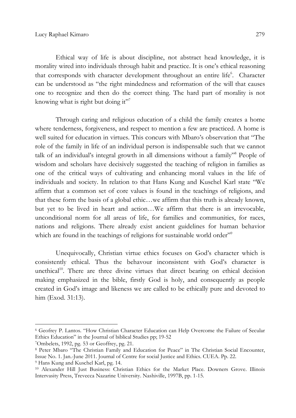Ethical way of life is about discipline, not abstract head knowledge, it is morality wired into individuals through habit and practice. It is one's ethical reasoning that corresponds with character development throughout an entire life<sup>6</sup>. Character can be understood as "the right mindedness and reformation of the will that causes one to recognize and then do the correct thing. The hard part of morality is not knowing what is right but doing it"<sup>7</sup>

Through caring and religious education of a child the family creates a home where tenderness, forgiveness, and respect to mention a few are practiced. A home is well suited for education in virtues. This concurs with Mbaro's observation that "The role of the family in life of an individual person is indispensable such that we cannot talk of an individual's integral growth in all dimensions without a family"<sup>8</sup> People of wisdom and scholars have decisively suggested the teaching of religion in families as one of the critical ways of cultivating and enhancing moral values in the life of individuals and society. In relation to that Hans Kung and Kuschel Karl state "We affirm that a common set of core values is found in the teachings of religions, and that these form the basis of a global ethic…we affirm that this truth is already known, but yet to be lived in heart and action…We affirm that there is an irrevocable, unconditional norm for all areas of life, for families and communities, for races, nations and religions. There already exist ancient guidelines for human behavior which are found in the teachings of religions for sustainable world order"<sup>9</sup>

Unequivocally, Christian virtue ethics focuses on God's character which is consistently ethical. Thus the behavour inconsistent with God's character is unethical<sup>10</sup>. There are three divine virtues that direct bearing on ethical decision making emphasized in the bible, firstly God is holy, and consequently as people created in God's image and likeness we are called to be ethically pure and devoted to him (Exod. 31:13).

<sup>6</sup> Geofrey P. Lantos. "How Christian Character Education can Help Overcome the Failure of Secular Ethics Education" in the Journal of biblical Studies pp; 19-52

<sup>7</sup>Ombelets, 1992, pg. 53 or Geoffrey, pg. 21.

<sup>8</sup> Peter Mbaro "The Christian Family and Education for Peace" in The Christian Social Encounter, Issue No. 1. Jan.-June 2011. Journal of Centre for social Justice and Ethics. CUEA. Pp. 22. 9 Hans Kung and Kuschel Karl, pg. 14.

<sup>10</sup> Alexander Hill Just Business: Christian Ethics for the Market Place. Downers Grove. Illinois Intervasity Press, Trevecca Nazarine University. Nashiville, 1997B, pp. 1-15.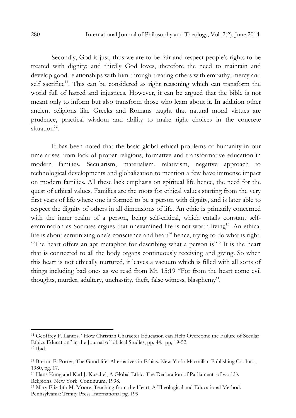Secondly, God is just, thus we are to be fair and respect people's rights to be treated with dignity; and thirdly God loves, therefore the need to maintain and develop good relationships with him through treating others with empathy, mercy and self sacrifice<sup>11</sup>. This can be considered as right reasoning which can transform the world full of hatred and injustices. However, it can be argued that the bible is not meant only to inform but also transform those who learn about it. In addition other ancient religions like Greeks and Romans taught that natural moral virtues are prudence, practical wisdom and ability to make right choices in the concrete  $situation<sup>12</sup>$ .

It has been noted that the basic global ethical problems of humanity in our time arises from lack of proper religious, formative and transformative education in modern families. Secularism, materialism, relativism, negative approach to technological developments and globalization to mention a few have immense impact on modern families. All these lack emphasis on spiritual life hence, the need for the quest of ethical values. Families are the roots for ethical values starting from the very first years of life where one is formed to be a person with dignity, and is later able to respect the dignity of others in all dimensions of life. An ethic is primarily concerned with the inner realm of a person, being self-critical, which entails constant selfexamination as Socrates argues that unexamined life is not worth living<sup>13</sup>. An ethical life is about scrutinizing one's conscience and heart<sup>14</sup> hence, trying to do what is right. "The heart offers an apt metaphor for describing what a person is"<sup>15</sup> It is the heart that is connected to all the body organs continuously receiving and giving. So when this heart is not ethically nurtured, it leaves a vacuum which is filled with all sorts of things including bad ones as we read from Mt. 15:19 "For from the heart come evil thoughts, murder, adultery, unchastity, theft, false witness, blasphemy".

<sup>11</sup> Geoffrey P. Lantos. "How Christian Character Education can Help Overcome the Failure of Secular Ethics Education" in the Journal of biblical Studies, pp. 44. pp; 19-52. <sup>12</sup> Ibid.

<sup>13</sup> Burton F. Porter, The Good life: Alternatives in Ethics. New York: Macmillan Publishing Co. Inc. , 1980, pg. 17.

<sup>14</sup> Hans Kung and Karl J. Kuschel, A Global Ethic: The Declaration of Parliament of world's Religions. New York: Continuum, 1998.

<sup>15</sup> Mary Elizabth M. Moore, Teaching from the Heart: A Theological and Educational Method. Pennsylvania: Trinity Press International pg. 199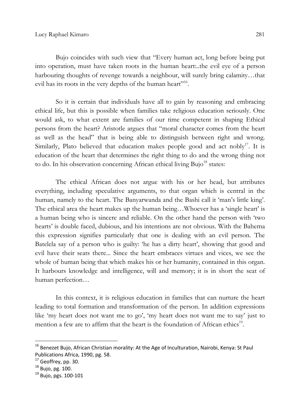Bujo coincides with such view that "Every human act, long before being put into operation, must have taken roots in the human heart:..the evil eye of a person harbouring thoughts of revenge towards a neighbour, will surely bring calamity…that evil has its roots in the very depths of the human heart<sup>316</sup>.

So it is certain that individuals have all to gain by reasoning and embracing ethical life, but this is possible when families take religious education seriously. One would ask, to what extent are families of our time competent in shaping Ethical persons from the heart? Aristotle argues that "moral character comes from the heart as well as the head" that is being able to distinguish between right and wrong. Similarly, Plato believed that education makes people good and act nobly<sup>17</sup>. It is education of the heart that determines the right thing to do and the wrong thing not to do. In his observation concerning African ethical living Bujo<sup>18</sup> states:

The ethical African does not argue with his or her head, but attributes everything, including speculative arguments, to that organ which is central in the human, namely to the heart. The Banyarwanda and the Bashi call it 'man's little king'. The ethical area the heart makes up the human being…Whoever has a 'single heart' is a human being who is sincere and reliable. On the other hand the person with 'two hearts' is double faced, dubious, and his intentions are not obvious. With the Bahema this expression signifies particularly that one is dealing with an evil person. The Batelela say of a person who is guilty: 'he has a dirty heart', showing that good and evil have their seats there... Since the heart embraces virtues and vices, we see the whole of human being that which makes his or her humanity, contained in this organ. It harbours knowledge and intelligence, will and memory; it is in short the seat of human perfection…

In this context, it is religious education in families that can nurture the heart leading to total formation and transformation of the person. In addition expressions like 'my heart does not want me to go', 'my heart does not want me to say' just to mention a few are to affirm that the heart is the foundation of African ethics<sup>19</sup>.

l

<sup>&</sup>lt;sup>16</sup> Benezet Bujo, African Christian morality: At the Age of Inculturation, Nairobi, Kenya: St Paul Publications Africa, 1990, pg. 58.

 $17$  Geoffrey, pp. 30.

<sup>18</sup> Bujo, pg. 100.

<sup>19</sup> Bujo, pgs. 100-101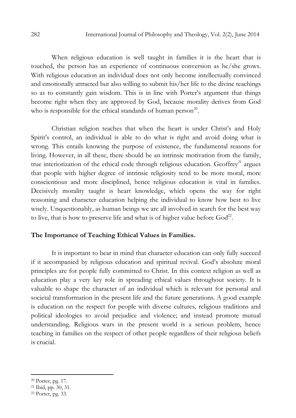When religious education is well taught in families it is the heart that is touched, the person has an experience of continuous conversion as he/she grows. With religious education an individual does not only become intellectually convinced and emotionally attracted but also willing to submit his/her life to the divine teachings so as to constantly gain wisdom. This is in line with Porter's argument that things become right when they are approved by God, because morality derives from God who is responsible for the ethical standards of human person<sup>20</sup>.

Christian religion teaches that when the heart is under Christ's and Holy Spirit's control, an individual is able to do what is right and avoid doing what is wrong. This entails knowing the purpose of existence, the fundamental reasons for living. However, in all these, there should be an intrinsic motivation from the family, true interiorization of the ethical code through religious education. Geoffrey<sup>21</sup> argues that people with higher degree of intrinsic religiosity tend to be more moral, more conscientious and more disciplined, hence religious education is vital in families. Decisively morality taught is heart knowledge, which opens the way for right reasoning and character education helping the individual to know how best to live wisely. Unquestionably, as human beings we are all involved in search for the best way to live, that is how to preserve life and what is of higher value before  $God^{22}$ .

### The Importance of Teaching Ethical Values in Families.

It is important to bear in mind that character education can only fully succeed if it accompanied by religious education and spiritual revival. God's absolute moral principles are for people fully committed to Christ. In this context religion as well as education play a very key role in spreading ethical values throughout society. It is valuable to shape the character of an individual which is relevant for personal and societal transformation in the present life and the future generations. A good example is education on the respect for people with diverse cultures, religious traditions and political ideologies to avoid prejudice and violence; and instead promote mutual understanding. Religious wars in the present world is a serious problem, hence teaching in families on the respect of other people regardless of their religious beliefs is crucial.

<sup>20</sup> Porter, pg. 17.

<sup>21</sup> Ibid, pp. 30, 31.

<sup>22</sup> Porter, pg. 33.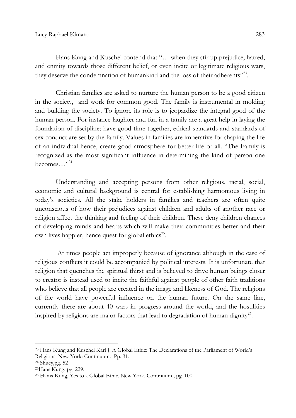Hans Kung and Kuschel contend that "… when they stir up prejudice, hatred, and enmity towards those different belief, or even incite or legitimate religious wars, they deserve the condemnation of humankind and the loss of their adherents"<sup>23</sup>.

Christian families are asked to nurture the human person to be a good citizen in the society, and work for common good. The family is instrumental in molding and building the society. To ignore its role is to jeopardize the integral good of the human person. For instance laughter and fun in a family are a great help in laying the foundation of discipline; have good time together, ethical standards and standards of sex conduct are set by the family. Values in families are imperative for shaping the life of an individual hence, create good atmosphere for better life of all. "The Family is recognized as the most significant influence in determining the kind of person one becomes…"<sup>24</sup>

Understanding and accepting persons from other religious, racial, social, economic and cultural background is central for establishing harmonious living in today's societies. All the stake holders in families and teachers are often quite unconscious of how their prejudices against children and adults of another race or religion affect the thinking and feeling of their children. These deny children chances of developing minds and hearts which will make their communities better and their own lives happier, hence quest for global ethics<sup>25</sup>.

 At times people act improperly because of ignorance although in the case of religious conflicts it could be accompanied by political interests. It is unfortunate that religion that quenches the spiritual thirst and is believed to drive human beings closer to creator is instead used to incite the faithful against people of other faith traditions who believe that all people are created in the image and likeness of God. The religions of the world have powerful influence on the human future. On the same line, currently there are about 40 wars in progress around the world, and the hostilities inspired by religions are major factors that lead to degradation of human dignity<sup>26</sup>.

<sup>23</sup> Hans Kung and Kuschel Karl J. A Global Ethic: The Declarations of the Parliament of World's Religions. New York: Continuum. Pp. 31.

 $24$  Shuey, pg. 52

<sup>25</sup>Hans Kung, pg. 229.

<sup>26</sup> Hams Kung, Yes to a Global Ethic. New York. Continuum., pg. 100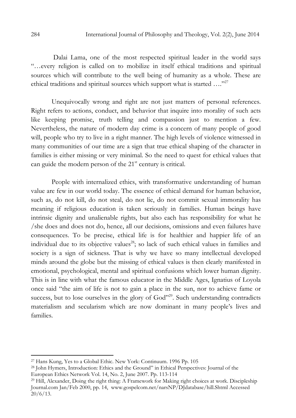Dalai Lama, one of the most respected spiritual leader in the world says "…every religion is called on to mobilize in itself ethical traditions and spiritual sources which will contribute to the well being of humanity as a whole. These are ethical traditions and spiritual sources which support what is started …."<sup>27</sup>

Unequivocally wrong and right are not just matters of personal references. Right refers to actions, conduct, and behavior that inquire into morality of such acts like keeping promise, truth telling and compassion just to mention a few. Nevertheless, the nature of modern day crime is a concern of many people of good will, people who try to live in a right manner. The high levels of violence witnessed in many communities of our time are a sign that true ethical shaping of the character in families is either missing or very minimal. So the need to quest for ethical values that can guide the modern person of the  $21<sup>st</sup>$  century is critical.

People with internalized ethics, with transformative understanding of human value are few in our world today. The essence of ethical demand for human behavior, such as, do not kill, do not steal, do not lie, do not commit sexual immorality has meaning if religious education is taken seriously in families. Human beings have intrinsic dignity and unalienable rights, but also each has responsibility for what he /she does and does not do, hence, all our decisions, omissions and even failures have consequences. To be precise, ethical life is for healthier and happier life of an individual due to its objective values<sup>28</sup>; so lack of such ethical values in families and society is a sign of sickness. That is why we have so many intellectual developed minds around the globe but the missing of ethical values is then clearly manifested in emotional, psychological, mental and spiritual confusions which lower human dignity. This is in line with what the famous educator in the Middle Ages, Ignatius of Loyola once said "the aim of life is not to gain a place in the sun, nor to achieve fame or success, but to lose ourselves in the glory of God"<sup>29</sup>. Such understanding contradicts materialism and secularism which are now dominant in many people's lives and families.

<sup>27</sup> Hans Kung, Yes to a Global Ethic. New York: Continuum. 1996 Pp. 105

<sup>28</sup> John Hymers, Introduction: Ethics and the Ground" in Ethical Perspectives: Journal of the European Ethics Network Vol. 14, No. 2, June 2007. Pp. 113-114

<sup>29</sup> Hill, Alexander, Doing the right thing: A Framework for Making right choices at work. Discipleship Journal.com Jan/Feb 2000, pp. 14, www.gospelcom.net/narsNP/DJdatabase/hill.Shtml Accessed  $20/6/13$ .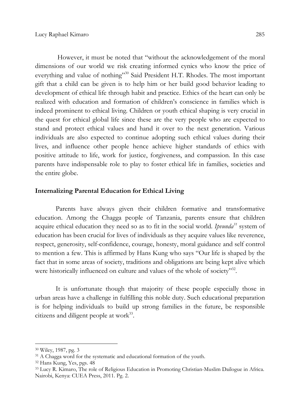However, it must be noted that "without the acknowledgement of the moral dimensions of our world we risk creating informed cynics who know the price of everything and value of nothing"<sup>30</sup> Said President H.T. Rhodes. The most important gift that a child can be given is to help him or her build good behavior leading to development of ethical life through habit and practice. Ethics of the heart can only be realized with education and formation of children's conscience in families which is indeed prominent to ethical living. Children or youth ethical shaping is very crucial in the quest for ethical global life since these are the very people who are expected to stand and protect ethical values and hand it over to the next generation. Various individuals are also expected to continue adopting such ethical values during their lives, and influence other people hence achieve higher standards of ethics with positive attitude to life, work for justice, forgiveness, and compassion. In this case parents have indispensable role to play to foster ethical life in families, societies and the entire globe.

## Internalizing Parental Education for Ethical Living

Parents have always given their children formative and transformative education. Among the Chagga people of Tanzania, parents ensure that children acquire ethical education they need so as to fit in the social world. Ipvunda<sup>31</sup> system of education has been crucial for lives of individuals as they acquire values like reverence, respect, generosity, self-confidence, courage, honesty, moral guidance and self control to mention a few. This is affirmed by Hans Kung who says "Our life is shaped by the fact that in some areas of society, traditions and obligations are being kept alive which were historically influenced on culture and values of the whole of society"<sup>32</sup>.

It is unfortunate though that majority of these people especially those in urban areas have a challenge in fulfilling this noble duty. Such educational preparation is for helping individuals to build up strong families in the future, be responsible citizens and diligent people at work<sup>33</sup>.

<sup>30</sup> Wiley, 1987, pg. 3

<sup>&</sup>lt;sup>31</sup> A Chagga word for the systematic and educational formation of the youth.

<sup>32</sup> Hans Kung, Yes, pgs. 48

<sup>33</sup> Lucy R. Kimaro, The role of Religious Education in Promoting Christian-Muslim Dailogue in Africa. Nairobi, Kenya: CUEA Press, 2011. Pg. 2.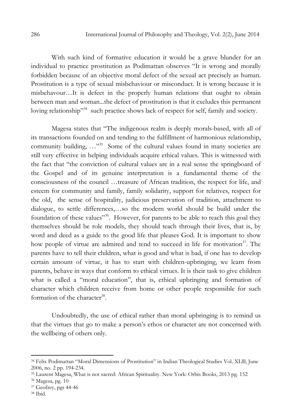With such kind of formative education it would be a grave blunder for an individual to practice prostitution as Podimattan observes "It is wrong and morally forbidden because of an objective moral defect of the sexual act precisely as human. Prostitution is a type of sexual misbehaviour or misconduct. It is wrong because it is misbehavour…It is defect in the properly human relations that ought to obtain between man and woman...the defect of prostitution is that it excludes this permanent loving relationship"<sup>34</sup> such practice shows lack of respect for self, family and society.

Magesa states that "The indigenous realm is deeply morals-based, with all of its transactions founded on and tending to the fulfillment of harmonious relationship, community building, ...<sup>35</sup> Some of the cultural values found in many societies are still very effective in helping individuals acquire ethical values. This is witnessed with the fact that "the conviction of cultural values are in a real sense the springboard of the Gospel and of its genuine interpretation is a fundamental theme of the consciousness of the council …treasure of African tradition, the respect for life, and esteem for community and family, family solidarity, support for relatives, respect for the old, the sense of hospitality, judicious preservation of tradition, attachment to dialogue, to settle differences,…so the modern world should be build under the foundation of these values"<sup>36</sup>. However, for parents to be able to reach this goal they themselves should be role models, they should teach through their lives, that is, by word and deed as a guide to the good life that pleases God. It is important to show how people of virtue are admired and tend to succeed in life for motivation<sup>37</sup>. The parents have to tell their children, what is good and what is bad, if one has to develop certain amount of virtue, it has to start with children-upbringing, we learn from parents, behave in ways that conform to ethical virtues. It is their task to give children what is called a "moral education", that is, ethical upbringing and formation of character which children receive from home or other people responsible for such formation of the character<sup>38</sup>.

Undoubtedly, the use of ethical rather than moral upbringing is to remind us that the virtues that go to make a person's ethos or character are not concerned with the wellbeing of others only.

<sup>34</sup> Felix Podimattan "Moral Dimensions of Prostitution" in Indian Theological Studies Vol. XLlll, June 2006, no. 2 pp. 194-234.

<sup>35</sup> Laurent Magesa, What is not sacred: African Spirituality. New York: Orbis Books, 2013 pg. 152

<sup>36</sup> Magesa, pg. 10

<sup>37</sup> Geofrey, pgs 44-46

<sup>38</sup> Ibid.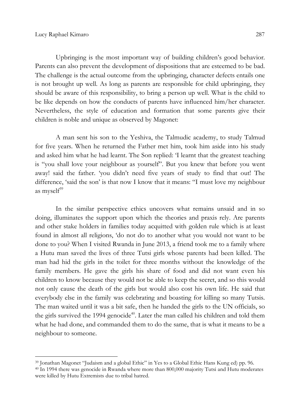$\overline{a}$ 

Upbringing is the most important way of building children's good behavior. Parents can also prevent the development of dispositions that are esteemed to be bad. The challenge is the actual outcome from the upbringing, character defects entails one is not brought up well. As long as parents are responsible for child upbringing, they should be aware of this responsibility, to bring a person up well. What is the child to be like depends on how the conducts of parents have influenced him/her character. Nevertheless, the style of education and formation that some parents give their children is noble and unique as observed by Magonet:

A man sent his son to the Yeshiva, the Talmudic academy, to study Talmud for five years. When he returned the Father met him, took him aside into his study and asked him what he had learnt. The Son replied: 'I learnt that the greatest teaching is "you shall love your neighbour as yourself". But you knew that before you went away! said the father. 'you didn't need five years of study to find that out! The difference, 'said the son' is that now I know that it means: "I must love my neighbour as mysel $f^{39}$ 

In the similar perspective ethics uncovers what remains unsaid and in so doing, illuminates the support upon which the theories and praxis rely. Are parents and other stake holders in families today acquitted with golden rule which is at least found in almost all religions, 'do not do to another what you would not want to be done to you? When I visited Rwanda in June 2013, a friend took me to a family where a Hutu man saved the lives of three Tutsi girls whose parents had been killed. The man had hid the girls in the toilet for three months without the knowledge of the family members. He gave the girls his share of food and did not want even his children to know because they would not be able to keep the secret, and so this would not only cause the death of the girls but would also cost his own life. He said that everybody else in the family was celebrating and boasting for killing so many Tutsis. The man waited until it was a bit safe, then he handed the girls to the UN officials, so the girls survived the 1994 genocide<sup>40</sup>. Later the man called his children and told them what he had done, and commanded them to do the same, that is what it means to be a neighbour to someone.

<sup>39</sup> Jonathan Magonet "Judaism and a global Ethic" in Yes to a Global Ethic Hans Kung ed) pp. 96.

<sup>&</sup>lt;sup>40</sup> In 1994 there was genocide in Rwanda where more than 800,000 majority Tutsi and Hutu moderates were killed by Hutu Extremists due to tribal hatred.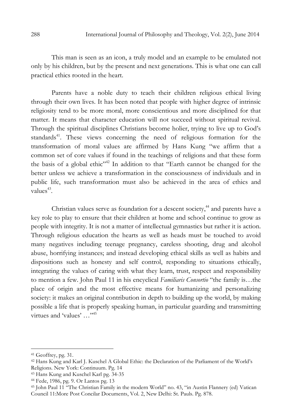This man is seen as an icon, a truly model and an example to be emulated not only by his children, but by the present and next generations. This is what one can call practical ethics rooted in the heart.

Parents have a noble duty to teach their children religious ethical living through their own lives. It has been noted that people with higher degree of intrinsic religiosity tend to be more moral, more conscientious and more disciplined for that matter. It means that character education will not succeed without spiritual revival. Through the spiritual disciplines Christians become holier, trying to live up to God's standards<sup>41</sup>. These views concerning the need of religious formation for the transformation of moral values are affirmed by Hans Kung "we affirm that a common set of core values if found in the teachings of religions and that these form the basis of a global ethic<sup> $n+2$ </sup> In addition to that "Earth cannot be changed for the better unless we achieve a transformation in the consciousness of individuals and in public life, such transformation must also be achieved in the area of ethics and values $43$ .

Christian values serve as foundation for a descent society,<sup>44</sup> and parents have a key role to play to ensure that their children at home and school continue to grow as people with integrity. It is not a matter of intellectual gymnastics but rather it is action. Through religious education the hearts as well as heads must be touched to avoid many negatives including teenage pregnancy, careless shooting, drug and alcohol abuse, horrifying instances; and instead developing ethical skills as well as habits and dispositions such as honesty and self control, responding to situations ethically, integrating the values of caring with what they learn, trust, respect and responsibility to mention a few. John Paul 11 in his encyclical Familiaris Consortio "the family is...the place of origin and the most effective means for humanizing and personalizing society: it makes an original contribution in depth to building up the world, by making possible a life that is properly speaking human, in particular guarding and transmitting virtues and 'values' ..."<sup>45</sup>

<sup>41</sup> Geoffrey, pg. 31.

<sup>42</sup> Hans Kung and Karl J. Kuschel A Global Ethic: the Declaration of the Parliament of the World's Religions. New York: Continuum. Pg. 14

<sup>43</sup> Hans Kung and Kuschel Karl pg. 34-35

<sup>44</sup> Fede, 1986, pg. 9. Or Lantos pg. 13

<sup>45</sup> John Paul 11 "The Christian Family in the modern World" no. 43, "in Austin Flannery (ed) Vatican Council 11:More Post Concilar Documents, Vol. 2, New Delhi: St. Pauls. Pg. 878.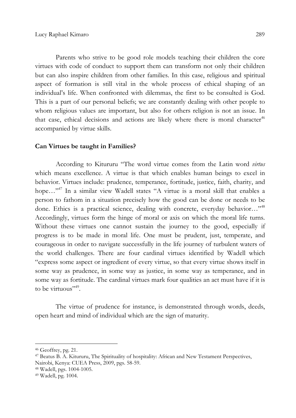Parents who strive to be good role models teaching their children the core virtues with code of conduct to support them can transform not only their children but can also inspire children from other families. In this case, religious and spiritual aspect of formation is still vital in the whole process of ethical shaping of an individual's life. When confronted with dilemmas, the first to be consulted is God. This is a part of our personal beliefs; we are constantly dealing with other people to whom religious values are important, but also for others religion is not an issue. In that case, ethical decisions and actions are likely where there is moral character<sup>46</sup> accompanied by virtue skills.

#### Can Virtues be taught in Families?

According to Kitururu "The word virtue comes from the Latin word virtus which means excellence. A virtue is that which enables human beings to excel in behavior. Virtues include: prudence, temperance, fortitude, justice, faith, charity, and hope..."<sup>47</sup> In a similar view Wadell states "A virtue is a moral skill that enables a person to fathom in a situation precisely how the good can be done or needs to be done. Ethics is a practical science, dealing with concrete, everyday behavior..."<sup>48</sup> Accordingly, virtues form the hinge of moral or axis on which the moral life turns. Without these virtues one cannot sustain the journey to the good, especially if progress is to be made in moral life. One must be prudent, just, temperate, and courageous in order to navigate successfully in the life journey of turbulent waters of the world challenges. There are four cardinal virtues identified by Wadell which "express some aspect or ingredient of every virtue, so that every virtue shows itself in some way as prudence, in some way as justice, in some way as temperance, and in some way as fortitude. The cardinal virtues mark four qualities an act must have if it is to be virtuous".

The virtue of prudence for instance, is demonstrated through words, deeds, open heart and mind of individual which are the sign of maturity.

<sup>46</sup> Geoffrey, pg. 21.

<sup>47</sup> Beatus B. A. Kitururu, The Spirituality of hospitality: African and New Testament Perspectives, Nairobi, Kenya: CUEA Press, 2009, pgs. 58-59.

<sup>48</sup> Wadell, pgs. 1004-1005.

<sup>49</sup> Wadell, pg. 1004.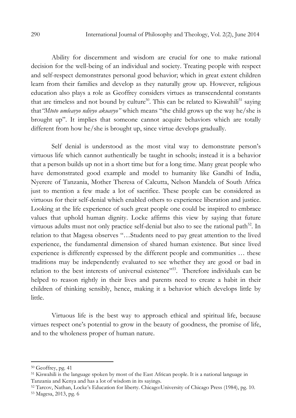Ability for discernment and wisdom are crucial for one to make rational decision for the well-being of an individual and society. Treating people with respect and self-respect demonstrates personal good behavior; which in great extent children learn from their families and develop as they naturally grow up. However, religious education also plays a role as Geoffrey considers virtues as transcendental constants that are timeless and not bound by culture<sup>50</sup>. This can be related to Kiswahili<sup>51</sup> saying that"Mtoto umleavyo ndivyo akuavyo" which means "the child grows up the way he/she is brought up". It implies that someone cannot acquire behaviors which are totally different from how he/she is brought up, since virtue develops gradually.

Self denial is understood as the most vital way to demonstrate person's virtuous life which cannot authentically be taught in schools; instead it is a behavior that a person builds up not in a short time but for a long time. Many great people who have demonstrated good example and model to humanity like Gandhi of India, Nyerere of Tanzania, Mother Theresa of Calcutta, Nelson Mandela of South Africa just to mention a few made a lot of sacrifice. These people can be considered as virtuous for their self-denial which enabled others to experience liberation and justice. Looking at the life experience of such great people one could be inspired to embrace values that uphold human dignity. Locke affirms this view by saying that future virtuous adults must not only practice self-denial but also to see the rational path<sup>52</sup>. In relation to that Magesa observes "…Students need to pay great attention to the lived experience, the fundamental dimension of shared human existence. But since lived experience is differently expressed by the different people and communities … these traditions may be independently evaluated to see whether they are good or bad in relation to the best interests of universal existence"<sup>553</sup>. Therefore individuals can be helped to reason rightly in their lives and parents need to create a habit in their children of thinking sensibly, hence, making it a behavior which develops little by little.

Virtuous life is the best way to approach ethical and spiritual life, because virtues respect one's potential to grow in the beauty of goodness, the promise of life, and to the wholeness proper of human nature.

 $50$  Geoffrey, pg. 41

<sup>51</sup> Kiswahili is the language spoken by most of the East African people. It is a national language in Tanzania and Kenya and has a lot of wisdom in its sayings.

<sup>52</sup> Tarcov, Nathan, Locke's Education for liberty. Chicago:University of Chicago Press (1984), pg. 10. 53 Magesa, 2013, pg. 6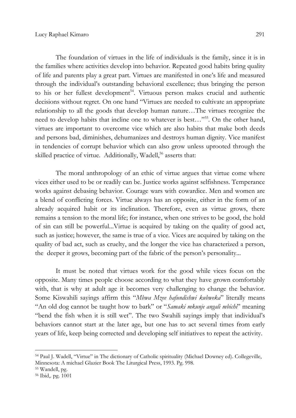The foundation of virtues in the life of individuals is the family, since it is in the families where activities develop into behavior. Repeated good habits bring quality of life and parents play a great part. Virtues are manifested in one's life and measured through the individual's outstanding behavioral excellence; thus bringing the person to his or her fullest development<sup>54</sup>. Virtuous person makes crucial and authentic decisions without regret. On one hand "Virtues are needed to cultivate an appropriate relationship to all the goods that develop human nature…The virtues recognize the need to develop habits that incline one to whatever is best…"<sup>55</sup>. On the other hand, virtues are important to overcome vice which are also habits that make both deeds and persons bad, diminishes, dehumanizes and destroys human dignity. Vice manifest in tendencies of corrupt behavior which can also grow unless uprooted through the skilled practice of virtue. Additionally, Wadell,<sup>56</sup> asserts that:

The moral anthropology of an ethic of virtue argues that virtue come where vices either used to be or readily can be. Justice works against selfishness. Temperance works against debasing behavior. Courage wars with cowardice. Men and women are a blend of conflicting forces. Virtue always has an opposite, either in the form of an already acquired habit or its inclination. Therefore, even as virtue grows, there remains a tension to the moral life; for instance, when one strives to be good, the hold of sin can still be powerful...Virtue is acquired by taking on the quality of good act, such as justice; however, the same is true of a vice. Vices are acquired by taking on the quality of bad act, such as cruelty, and the longer the vice has characterized a person, the deeper it grows, becoming part of the fabric of the person's personality...

It must be noted that virtues work for the good while vices focus on the opposite. Many times people choose according to what they have grown comfortably with, that is why at adult age it becomes very challenging to change the behavior. Some Kiswahili sayings affirm this "Mbwa Mzee hafundishwi kubweka" literally means "An old dog cannot be taught how to bark" or "Samaki mkunje angali mbichi" meaning "bend the fish when it is still wet". The two Swahili sayings imply that individual's behaviors cannot start at the later age, but one has to act several times from early years of life, keep being corrected and developing self initiatives to repeat the activity.

<sup>54</sup> Paul J. Wadell, "Virtue" in The dictionary of Catholic spirituality (Michael Downey ed). Collegeville, Minnesota: A michael Glazier Book The Liturgical Press, 1993. Pg. 998.

<sup>55</sup> Wandell, pg.

<sup>56</sup> Ibid,. pg. 1001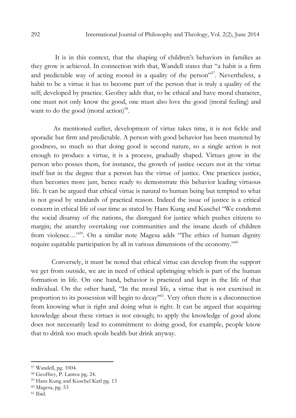It is in this context, that the shaping of children's behaviors in families as they grow is achieved. In connection with that, Wandell states that "a habit is a firm and predictable way of acting rooted in a quality of the person"<sup>57</sup>. Nevertheless, a habit to be a virtue it has to become part of the person that is truly a quality of the self; developed by practice. Geofrey adds that, to be ethical and have moral character, one must not only know the good, one must also love the good (moral feeling) and want to do the good (moral action)<sup>58</sup>.

 As mentioned earlier, development of virtue takes time, it is not fickle and sporadic but firm and predictable. A person with good behavior has been mastered by goodness, so much so that doing good is second nature, so a single action is not enough to produce a virtue, it is a process, gradually shaped. Virtues grow in the person who posses them, for instance, the growth of justice occurs not in the virtue itself but in the degree that a person has the virtue of justice. One practices justice, then becomes more just, hence ready to demonstrate this behavior leading virtuous life. It can be argued that ethical virtue is natural to human being but tempted to what is not good by standards of practical reason. Indeed the issue of justice is a critical concern in ethical life of our time as stated by Hans Kung and Kuschel "We condemn the social disarray of the nations, the disregard for justice which pushes citizens to margin; the anarchy overtaking our communities and the insane death of children from violence..."<sup>59</sup>. On a similar note Magesa adds "The ethics of human dignity require equitable participation by all in various dimensions of the economy."<sup>60</sup>

Conversely, it must be noted that ethical virtue can develop from the support we get from outside, we are in need of ethical upbringing which is part of the human formation in life. On one hand, behavior is practiced and kept in the life of that individual. On the other hand, "In the moral life, a virtue that is not exercised in proportion to its possession will begin to decay<sup>"61</sup>. Very often there is a disconnection from knowing what is right and doing what is right. It can be argued that acquiring knowledge about these virtues is not enough; to apply the knowledge of good alone does not necessarily lead to commitment to doing good, for example, people know that to drink too much spoils health but drink anyway.

 $61$  Ibid.

<sup>57</sup> Wandell, pg. 1004.

<sup>58</sup> Geoffrey, P. Lantos pg. 24.

<sup>59</sup> Hans Kung and Kuschel Karl pg. 13

<sup>60</sup> Magesa, pg. 53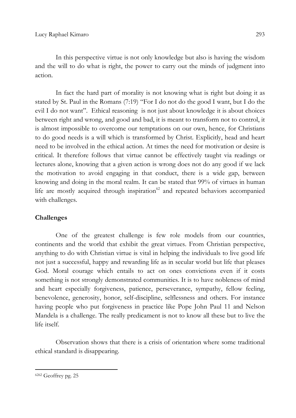In this perspective virtue is not only knowledge but also is having the wisdom and the will to do what is right, the power to carry out the minds of judgment into action.

In fact the hard part of morality is not knowing what is right but doing it as stated by St. Paul in the Romans (7:19) "For I do not do the good I want, but I do the evil I do not want". Ethical reasoning is not just about knowledge it is about choices between right and wrong, and good and bad, it is meant to transform not to control, it is almost impossible to overcome our temptations on our own, hence, for Christians to do good needs is a will which is transformed by Christ. Explicitly, head and heart need to be involved in the ethical action. At times the need for motivation or desire is critical. It therefore follows that virtue cannot be effectively taught via readings or lectures alone, knowing that a given action is wrong does not do any good if we lack the motivation to avoid engaging in that conduct, there is a wide gap, between knowing and doing in the moral realm. It can be stated that 99% of virtues in human life are mostly acquired through inspiration $62$  and repeated behaviors accompanied with challenges.

# Challenges

One of the greatest challenge is few role models from our countries, continents and the world that exhibit the great virtues. From Christian perspective, anything to do with Christian virtue is vital in helping the individuals to live good life not just a successful, happy and rewarding life as in secular world but life that pleases God. Moral courage which entails to act on ones convictions even if it costs something is not strongly demonstrated communities. It is to have nobleness of mind and heart especially forgiveness, patience, perseverance, sympathy, fellow feeling, benevolence, generosity, honor, self-discipline, selflessness and others. For instance having people who put forgiveness in practice like Pope John Paul 11 and Nelson Mandela is a challenge. The really predicament is not to know all these but to live the life itself.

Observation shows that there is a crisis of orientation where some traditional ethical standard is disappearing.

6262 Geoffrey pg. 25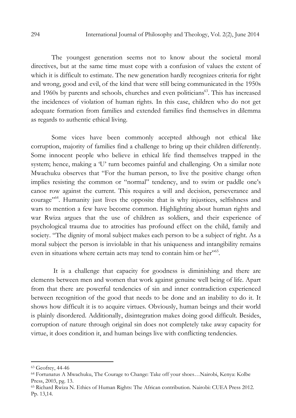The youngest generation seems not to know about the societal moral directives, but at the same time must cope with a confusion of values the extent of which it is difficult to estimate. The new generation hardly recognizes criteria for right and wrong, good and evil, of the kind that were still being communicated in the 1950s and 1960s by parents and schools, churches and even politicians<sup>63</sup>. This has increased the incidences of violation of human rights. In this case, children who do not get adequate formation from families and extended families find themselves in dilemma as regards to authentic ethical living.

Some vices have been commonly accepted although not ethical like corruption, majority of families find a challenge to bring up their children differently. Some innocent people who believe in ethical life find themselves trapped in the system; hence, making a 'U' turn becomes painful and challenging. On a similar note Mwachuku observes that "For the human person, to live the positive change often implies resisting the common or "normal" tendency, and to swim or paddle one's canoe row against the current. This requires a will and decision, perseverance and courage"<sup>64</sup>. Humanity just lives the opposite that is why injustices, selfishness and wars to mention a few have become common. Highlighting about human rights and war Rwiza argues that the use of children as soldiers, and their experience of psychological trauma due to atrocities has profound effect on the child, family and society. "The dignity of moral subject makes each person to be a subject of right. As a moral subject the person is inviolable in that his uniqueness and intangibility remains even in situations where certain acts may tend to contain him or her"<sup>65</sup>.

 It is a challenge that capacity for goodness is diminishing and there are elements between men and women that work against genuine well being of life. Apart from that there are powerful tendencies of sin and inner contradiction experienced between recognition of the good that needs to be done and an inability to do it. It shows how difficult it is to acquire virtues. Obviously, human beings and their world is plainly disordered. Additionally, disintegration makes doing good difficult. Besides, corruption of nature through original sin does not completely take away capacity for virtue, it does condition it, and human beings live with conflicting tendencies.

<sup>63</sup> Geofrey, 44-46

<sup>64</sup> Fortunatus A Mwachuku, The Courage to Change: Take off your shoes…Nairobi, Kenya: Kolbe Press, 2003, pg. 13.

<sup>65</sup> Richard Rwiza N. Ethics of Human Rights: The African contribution. Nairobi: CUEA Press 2012. Pp. 13,14.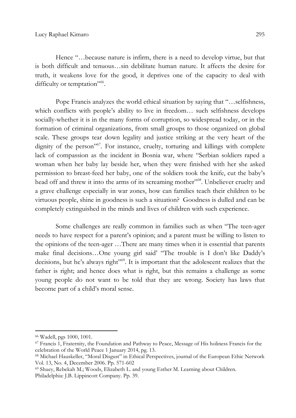Hence "…because nature is infirm, there is a need to develop virtue, but that is both difficult and tenuous…sin debilitate human nature. It affects the desire for truth, it weakens love for the good, it deprives one of the capacity to deal with difficulty or temptation"<sup>66</sup>.

Pope Francis analyzes the world ethical situation by saying that "…selfishness, which conflicts with people's ability to live in freedom... such selfishness develops socially-whether it is in the many forms of corruption, so widespread today, or in the formation of criminal organizations, from small groups to those organized on global scale. These groups tear down legality and justice striking at the very heart of the dignity of the person"<sup>67</sup>. For instance, cruelty, torturing and killings with complete lack of compassion as the incident in Bosnia war, where "Serbian soldiers raped a woman when her baby lay beside her, when they were finished with her she asked permission to breast-feed her baby, one of the soldiers took the knife, cut the baby's head off and threw it into the arms of its screaming mother"<sup>68</sup>. Unbeliever cruelty and a grave challenge especially in war zones, how can families teach their children to be virtuous people, shine in goodness is such a situation? Goodness is dulled and can be completely extinguished in the minds and lives of children with such experience.

Some challenges are really common in families such as when "The teen-ager needs to have respect for a parent's opinion; and a parent must be willing to listen to the opinions of the teen-ager …There are many times when it is essential that parents make final decisions…One young girl said' "The trouble is I don't like Daddy's decisions, but he's always right"<sup>69</sup>. It is important that the adolescent realizes that the father is right; and hence does what is right, but this remains a challenge as some young people do not want to be told that they are wrong. Society has laws that become part of a child's moral sense.

<sup>66</sup> Wadell, pgs 1000, 1001.

<sup>67</sup> Francis 1, Fraternity, the Foundation and Pathway to Peace, Message of His holiness Francis for the celebration of the World Peace 1 January 2014, pg. 13.

<sup>68</sup> Michael Hauskeller, "Moral Disgust" in Ethical Perspectives, journal of the European Ethic Network Vol. 13, No. 4, December 2006. Pp. 571-602

<sup>69</sup> Shuey, Rebekah M.; Woods, Elizabeth L. and young Esther M. Learning about Children. Philadelphia: J.B. Lippincott Company. Pp. 39.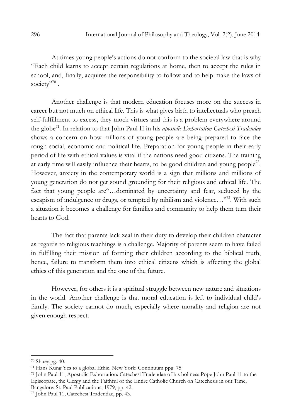At times young people's actions do not conform to the societal law that is why "Each child learns to accept certain regulations at home, then to accept the rules in school, and, finally, acquires the responsibility to follow and to help make the laws of society"<sup>70</sup>.

Another challenge is that modern education focuses more on the success in career but not much on ethical life. This is what gives birth to intellectuals who preach self-fulfillment to excess, they mock virtues and this is a problem everywhere around the globe<sup>71</sup>. In relation to that John Paul II in his *apostolic Exhortation Catechesi Tradendae* shows a concern on how millions of young people are being prepared to face the rough social, economic and political life. Preparation for young people in their early period of life with ethical values is vital if the nations need good citizens. The training at early time will easily influence their hearts, to be good children and young people<sup>72</sup>. However, anxiety in the contemporary world is a sign that millions and millions of young generation do not get sound grounding for their religious and ethical life. The fact that young people are"…dominated by uncertainty and fear, seduced by the escapism of indulgence or drugs, or tempted by nihilism and violence..."<sup>73</sup>. With such a situation it becomes a challenge for families and community to help them turn their hearts to God.

The fact that parents lack zeal in their duty to develop their children character as regards to religious teachings is a challenge. Majority of parents seem to have failed in fulfilling their mission of forming their children according to the biblical truth, hence, failure to transform them into ethical citizens which is affecting the global ethics of this generation and the one of the future.

However, for others it is a spiritual struggle between new nature and situations in the world. Another challenge is that moral education is left to individual child's family. The society cannot do much, especially where morality and religion are not given enough respect.

<sup>70</sup> Shuey,pg. 40.

<sup>71</sup> Hans Kung Yes to a global Ethic. New York: Continuum ppg. 75.

<sup>72</sup> John Paul 11, Apostolic Exhortation: Catechesi Tradendae of his holiness Pope John Paul 11 to the Episcopate, the Clergy and the Faithful of the Entire Catholic Church on Catechesis in out Time, Bangalore: St. Paul Publications, 1979, pp. 42.

<sup>73</sup> John Paul 11, Catechesi Tradendae, pp. 43.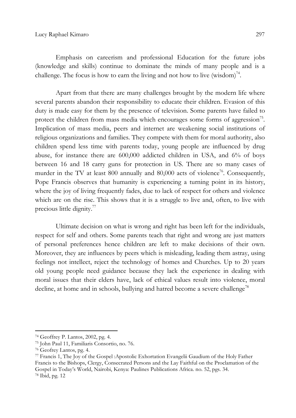Emphasis on careerism and professional Education for the future jobs (knowledge and skills) continue to dominate the minds of many people and is a challenge. The focus is how to earn the living and not how to live (wisdom)<sup>74</sup>.

Apart from that there are many challenges brought by the modern life where several parents abandon their responsibility to educate their children. Evasion of this duty is made easy for them by the presence of television. Some parents have failed to protect the children from mass media which encourages some forms of aggression $75$ . Implication of mass media, peers and internet are weakening social institutions of religious organizations and families. They compete with them for moral authority, also children spend less time with parents today, young people are influenced by drug abuse, for instance there are 600,000 addicted children in USA, and 6% of boys between 16 and 18 carry guns for protection in US. There are so many cases of murder in the TV at least 800 annually and 80,000 acts of violence<sup>76</sup>. Consequently, Pope Francis observes that humanity is experiencing a turning point in its history, where the joy of living frequently fades, due to lack of respect for others and violence which are on the rise. This shows that it is a struggle to live and, often, to live with precious little dignity.<sup>77</sup>

Ultimate decision on what is wrong and right has been left for the individuals, respect for self and others. Some parents teach that right and wrong are just matters of personal preferences hence children are left to make decisions of their own. Moreover, they are influences by peers which is misleading, leading them astray, using feelings not intellect, reject the technology of homes and Churches. Up to 20 years old young people need guidance because they lack the experience in dealing with moral issues that their elders have, lack of ethical values result into violence, moral decline, at home and in schools, bullying and hatred become a severe challenge<sup>78</sup>

<sup>74</sup> Geoffrey P. Lantos, 2002, pg. 4.

<sup>75</sup> John Paul 11, Familiaris Consortio, no. 76.

<sup>76</sup> Geofrey Lantos, pg. 4.

<sup>77</sup> Francis 1, The Joy of the Gospel :Apostolic Exhortation Evangelii Gaudium of the Holy Father Francis to the Bishops, Clergy, Consecrated Persons and the Lay Faithful on the Proclamation of the Gospel in Today's World, Nairobi, Kenya: Paulines Publications Africa. no. 52, pgs. 34. 78 Ibid, pg. 12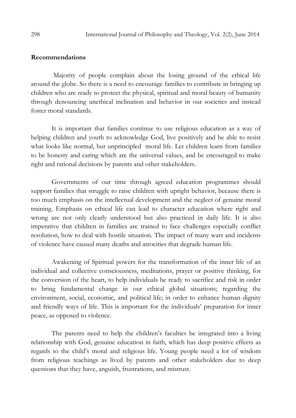## Recommendations

 Majority of people complain about the losing ground of the ethical life around the globe. So there is a need to encourage families to contribute in bringing up children who are ready to protect the physical, spiritual and moral beauty of humanity through denouncing unethical inclination and behavior in our societies and instead foster moral standards.

It is important that families continue to use religious education as a way of helping children and youth to acknowledge God, live positively and be able to resist what looks like normal, but unprincipled moral life. Let children learn from families to be honesty and caring which are the universal values, and be encouraged to make right and rational decisions by parents and other stakeholders.

Governments of our time through agreed education programmes should support families that struggle to raise children with upright behavior, because there is too much emphasis on the intellectual development and the neglect of genuine moral training. Emphasis on ethical life can lead to character education where right and wrong are not only clearly understood but also practiced in daily life. It is also imperative that children in families are trained to face challenges especially conflict resolution, how to deal with hostile situation. The impact of many wars and incidents of violence have caused many deaths and atrocities that degrade human life.

Awakening of Spiritual powers for the transformation of the inner life of an individual and collective consciousness, meditations, prayer or positive thinking, for the conversion of the heart, to help individuals be ready to sacrifice and risk in order to bring fundamental change in our ethical global situations; regarding the environment, social, economic, and political life; in order to enhance human dignity and friendly ways of life. This is important for the individuals' preparation for inner peace, as opposed to violence.

The parents need to help the children's faculties be integrated into a living relationship with God, genuine education in faith, which has deep positive effects as regards to the child's moral and religious life. Young people need a lot of wisdom from religious teachings as lived by parents and other stakeholders due to deep questions that they have, anguish, frustrations, and mistrust.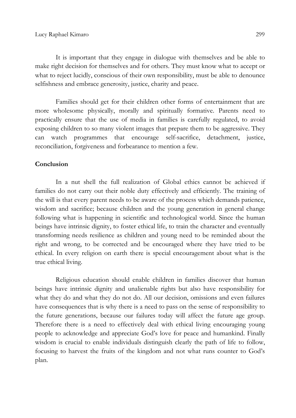It is important that they engage in dialogue with themselves and be able to make right decision for themselves and for others. They must know what to accept or what to reject lucidly, conscious of their own responsibility, must be able to denounce selfishness and embrace generosity, justice, charity and peace.

Families should get for their children other forms of entertainment that are more wholesome physically, morally and spiritually formative. Parents need to practically ensure that the use of media in families is carefully regulated, to avoid exposing children to so many violent images that prepare them to be aggressive. They can watch programmes that encourage self-sacrifice, detachment, justice, reconciliation, forgiveness and forbearance to mention a few.

### Conclusion

In a nut shell the full realization of Global ethics cannot be achieved if families do not carry out their noble duty effectively and efficiently. The training of the will is that every parent needs to be aware of the process which demands patience, wisdom and sacrifice; because children and the young generation in general change following what is happening in scientific and technological world. Since the human beings have intrinsic dignity, to foster ethical life, to train the character and eventually transforming needs resilience as children and young need to be reminded about the right and wrong, to be corrected and be encouraged where they have tried to be ethical. In every religion on earth there is special encouragement about what is the true ethical living.

Religious education should enable children in families discover that human beings have intrinsic dignity and unalienable rights but also have responsibility for what they do and what they do not do. All our decision, omissions and even failures have consequences that is why there is a need to pass on the sense of responsibility to the future generations, because our failures today will affect the future age group. Therefore there is a need to effectively deal with ethical living encouraging young people to acknowledge and appreciate God's love for peace and humankind. Finally wisdom is crucial to enable individuals distinguish clearly the path of life to follow, focusing to harvest the fruits of the kingdom and not what runs counter to God's plan.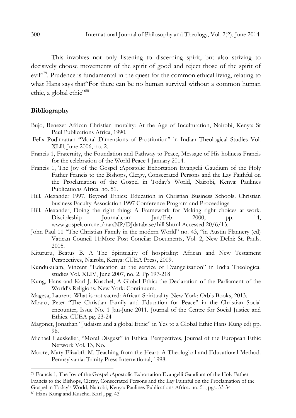This involves not only listening to discerning spirit, but also striving to decisively choose movements of the spirit of good and reject those of the spirit of evil"<sup>79</sup>. Prudence is fundamental in the quest for the common ethical living, relating to what Hans says that"For there can be no human survival without a common human ethic, a global ethic"<sup>80</sup>

## Bibliography

- Bujo, Benezet African Christian morality: At the Age of Inculturation, Nairobi, Kenya: St Paul Publications Africa, 1990.
- Felix Podimattan "Moral Dimensions of Prostitution" in Indian Theological Studies Vol. XLlll, June 2006, no. 2.
- Francis 1, Fraternity, the Foundation and Pathway to Peace, Message of His holiness Francis for the celebration of the World Peace 1 January 2014.
- Francis 1, The Joy of the Gospel :Apostolic Exhortation Evangelii Gaudium of the Holy Father Francis to the Bishops, Clergy, Consecrated Persons and the Lay Faithful on the Proclamation of the Gospel in Today's World, Nairobi, Kenya: Paulines Publications Africa. no. 51.
- Hill, Alexander 1997, Beyond Ethics: Education in Christian Business Schools. Christian business Faculty Association 1997 Conference Program and Proceedings
- Hill, Alexander, Doing the right thing: A Framework for Making right choices at work. Discipleship Journal.com Jan/Feb 2000, pp. 14, www.gospelcom.net/narsNP/DJdatabase/hill.Shtml Accessed 20/6/13.
- John Paul 11 "The Christian Family in the modern World" no. 43, "in Austin Flannery (ed) Vatican Council 11:More Post Concilar Documents, Vol. 2, New Delhi: St. Pauls. 2005.
- Kitururu, Beatus B. A The Spirituality of hospitality: African and New Testament Perspectives, Nairobi, Kenya: CUEA Press, 2009.
- Kundukulam, Vincent "Education at the service of Evangelization" in India Theological studies Vol. XLIV, June 2007, no. 2. Pp 197-218
- Kung, Hans and Karl J. Kuschel, A Global Ethic: the Declaration of the Parliament of the World's Religions. New York: Continuum.
- Magesa, Laurent. What is not sacred: African Spirituality. New York: Orbis Books, 2013.
- Mbaro, Peter "The Christian Family and Education for Peace" in the Christian Social encounter, Issue No. 1 Jan-June 2011. Journal of the Centre for Social Justice and Ethics. CUEA pg. 23-24
- Magonet, Jonathan "Judaism and a global Ethic" in Yes to a Global Ethic Hans Kung ed) pp. 96.
- Michael Hauskeller, "Moral Disgust" in Ethical Perspectives, Journal of the European Ethic Network Vol. 13, No.
- Moore, Mary Elizabth M. Teaching from the Heart: A Theological and Educational Method. Pennsylvania: Trinity Press International, 1998.

<sup>79</sup> Francis 1, The Joy of the Gospel :Apostolic Exhortation Evangelii Gaudium of the Holy Father Francis to the Bishops, Clergy, Consecrated Persons and the Lay Faithful on the Proclamation of the Gospel in Today's World, Nairobi, Kenya: Paulines Publications Africa. no. 51, pgs. 33-34 80 Hans Kung and Kuschel Karl , pg. 43